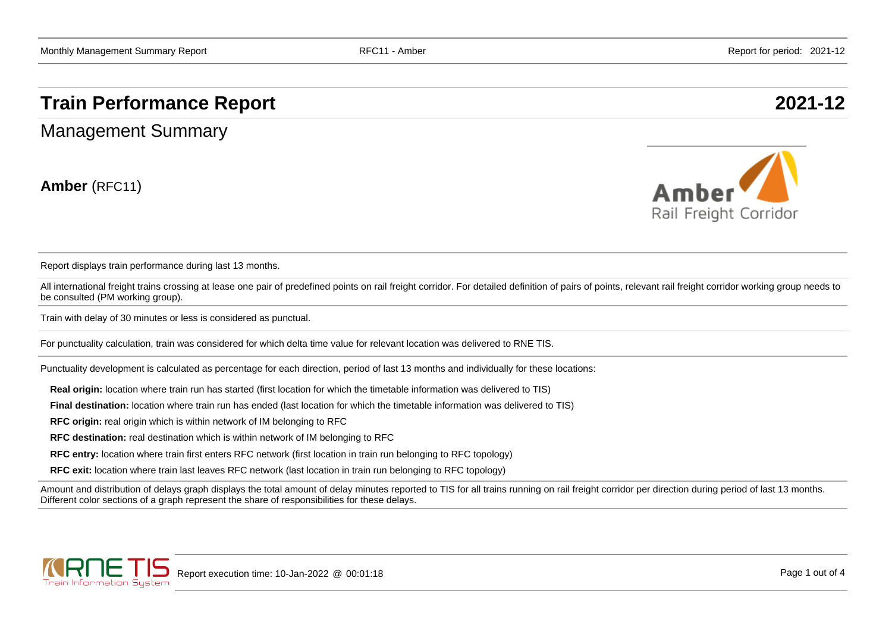## **Train Performance Report 2021-12**

Management Summary

**Amber** (RFC11)



Report displays train performance during last 13 months.

All international freight trains crossing at lease one pair of predefined points on rail freight corridor. For detailed definition of pairs of points, relevant rail freight corridor working group needs to be consulted (PM working group).

Train with delay of 30 minutes or less is considered as punctual.

For punctuality calculation, train was considered for which delta time value for relevant location was delivered to RNE TIS.

Punctuality development is calculated as percentage for each direction, period of last 13 months and individually for these locations:

**Real origin:** location where train run has started (first location for which the timetable information was delivered to TIS)

**Final destination:** location where train run has ended (last location for which the timetable information was delivered to TIS)

**RFC origin:** real origin which is within network of IM belonging to RFC

**RFC destination:** real destination which is within network of IM belonging to RFC

**RFC entry:** location where train first enters RFC network (first location in train run belonging to RFC topology)

**RFC exit:** location where train last leaves RFC network (last location in train run belonging to RFC topology)

Amount and distribution of delays graph displays the total amount of delay minutes reported to TIS for all trains running on rail freight corridor per direction during period of last 13 months. Different color sections of a graph represent the share of responsibilities for these delays.

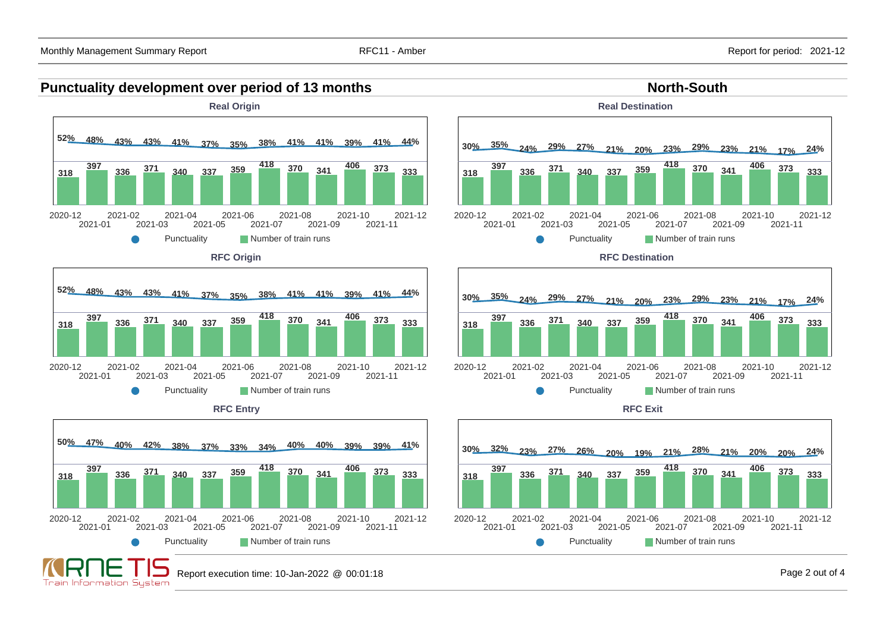



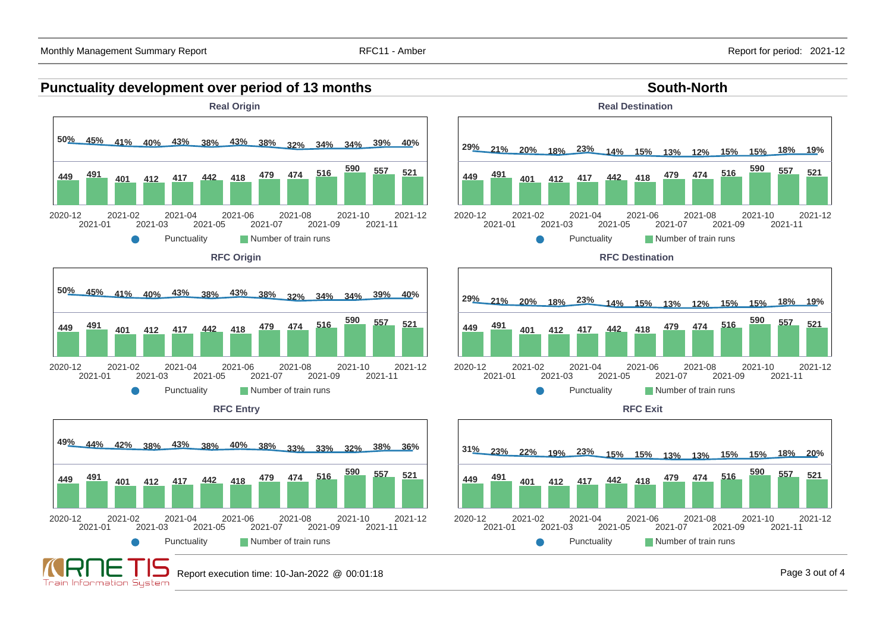Train Information System

## **Punctuality development over period of 13 months South-North South-North**